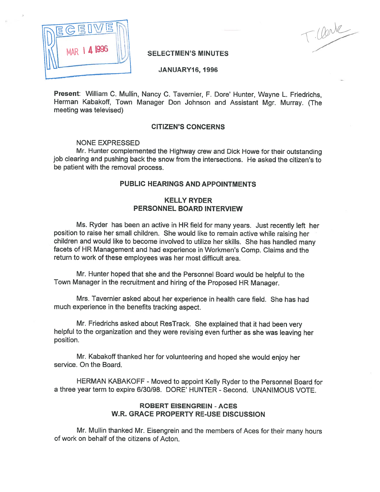

Clerk

### SELECTMEN'S MINUTES

JANUARY16, 1996

Present: William C. Mullin, Nancy C. Tavernier, F. Dore' Hunter, Wayne L. Friedrichs, Herman Kabakoff, Town Manager Don Johnson and Assistant Mgr. Murray. (The meeting was televised)

### CITIZEN'S CONCERNS

#### NONE EXPRESSED

Mr. Hunter complemented the Highway crew and Dick Howe for their outstanding job clearing and pushing back the snow from the intersections. He asked the citizen's to be patient with the removal process.

## PUBLIC HEARINGS AND APPOINTMENTS

### KELLY RYDER PERSONNEL BOARD INTERVIEW

Ms. Ryder has been an active in HR field for many years. Just recently left her position to raise her small children. She would like to remain active while raising her children and would like to become involved to utilize her skills. She has handled many facets of HR Management and had experience in Workmen's Comp. Claims and the return to work of these employees was her most difficult area.

Mr. Hunter hoped that she and the Personnel Board would be helpful to the Town Manager in the recruitment and hiring of the Proposed HR Manager.

Mrs. Tavernier asked about her experience in health care field. She has had much experience in the benefits tracking aspect.

Mr. Friedrichs asked about ResTrack. She explained that it had been very helpful to the organization and they were revising even further as she was leaving her position.

Mr. Kabakoff thanked her for volunteering and hoped she would enjoy her service. On the Board.

HERMAN KABAKOFF -Moved to appoint Kelly Ryder to the Personnel Board for <sup>a</sup> three year term to expire 6/30/98. DORE' HUNTER -Second. UNANIMOUS VOTE.

### ROBERT EISENGREIN - ACES W.R. GRACE PROPERTY RE-USE DISCUSSION

Mr. Mullin thanked Mr. Eisengrein and the members of Aces for their many hours of work on behalf of the citizens of Acton.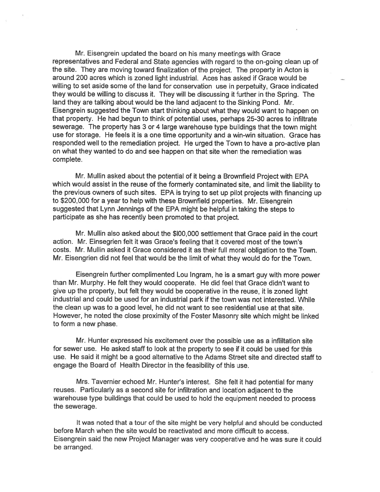Mr. Eisengrein updated the board on his many meetings with Grace representatives and Federal and State agencies with regard to the on-going clean up of the site. They are moving toward finalization of the project. The property in Acton is around <sup>200</sup> acres which is zoned light industrial. Aces has asked if Grace would be willing to set aside some of the land for conservation use in perpetuity, Grace indicated they would be willing to discuss it. They will be discussing it further in the Spring. The land they are talking about would be the land adjacent to the Sinking Pond. Mr. Eisengrein suggested the Town start thinking about what they would want to happen on that property. He had begun to think of potential uses, perhaps 25-30 acres to infiltrate sewerage. The property has 3 or 4 large warehouse type buildings that the town might use for storage. He feels it is <sup>a</sup> one time opportunity and <sup>a</sup> win-win situation. Grace has responded well to the remediation project. He urged the Town to have <sup>a</sup> pro-active <sup>p</sup>lan on what they wanted to do and see happen on that site when the remediation was complete.

Mr. Mullin asked about the potential of it being <sup>a</sup> Brownfield Project with EPA which would assist in the reuse of the formerly contaminated site, and limit the liability to the previous owners of such sites. EPA is trying to set up <sup>p</sup>ilot projects with financing up to \$200,000 for <sup>a</sup> year to help with these Brownfield properties. Mr. Elsengrein suggested that Lynn Jennings of the EPA might be helpful in taking the steps to participate as she has recently been promoted to that project.

Mr. Mullin also asked about the \$100,000 settlement that Grace paid in the court action. Mr. Einsegrien felt it was Grace's feeling that it covered most of the town's costs. Mr. Mullin asked it Grace considered it as their full moral obligation to the Town. Mr. Eisengrien did not feel that would be the limit of what they would do for the Town.

Eisengrein further complimented Lou Ingram, he is <sup>a</sup> smart guy with more power than Mr. Murphy. He felt they would cooperate. He did feel that Grace didn't want to <sup>g</sup>ive up the property, but felt they would be cooperative in the reuse, it is zoned light industrial and could be used for an industrial park if the town was not interested. While the clean up was to <sup>a</sup> good level, he did not want to see residential use at that site. However, he noted the close proximity of the Foster Masonry site which might be linked to form <sup>a</sup> new phase.

Mr. Hunter expressed his excitement over the possible use as <sup>a</sup> infliltation site for sewer use. He asked staff to look at the property to see if it could be used for this use. He said it might be <sup>a</sup> good alternative to the Adams Street site and directed staff to engage the Board of Health Director in the feasibility of this use.

Mrs. Tavernier echoed Mr. Hunter's interest. She felt it had potential for many reuses. Particularly as <sup>a</sup> second site for infiltration and location adjacent to the warehouse type buildings that could be used to hold the equipment needed to process the sewerage.

It was noted that <sup>a</sup> tour of the site might be very helpful and should be conducted before March when the site would be reactivated and more difficult to access. Eisengrein said the new Project Manager was very cooperative and he was sure it could be arranged.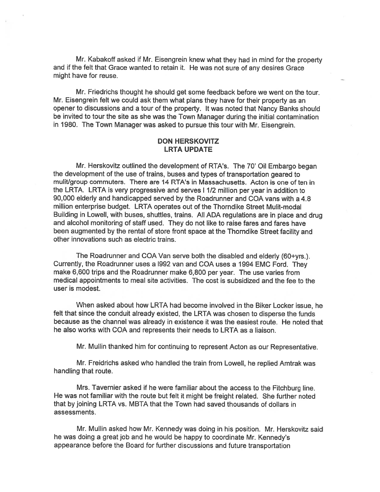Mr. Kabakoff asked if Mr. Eisengrein knew what they had in mind for the property and if the felt that Grace wanted to retain it. He was not sure of any desires Grace might have for reuse.

Mr. Friedrichs thought he should ge<sup>t</sup> some feedback before we went on the tour. Mr. Eisengrein felt we could ask them what plans they have for their property as an opener to discussions and <sup>a</sup> tour of the property. It was noted that Nancy Banks should be invited to tour the site as she was the Town Manager during the initial contamination in 1980. The Town Manager was asked to pursue this tour with Mr. Eisengrein.

### DON HERSKOVITZ LRTA UPDATE

Mr. Herskovitz outlined the development of RTA's. The 70' Oil Embargo began the development of the use of trains, buses and types of transportation geare<sup>d</sup> to mulit/group commuters. There are 14 RTA's in Massachusetts. Acton is one of ten in the LRTA. LRTA is very progressive and serves <sup>I</sup> 1/2 million per year in addition to 90,000 elderly and handicapped served by the Roadrunner and COA vans with <sup>a</sup> 4.8 million enterprise budget. LRTA operates out of the Thorndike Street Mulit-modal Building in Lowell, with buses, shuttles, trains. All ADA regulations are in <sup>p</sup>lace and drug and alcohol monitoring of staff used. They do not like to raise fares and fares have been augmented by the rental of store front space at the Thorndike Street facility and other innovations such as electric trains.

The Roadrunner and COA Van serve both the disabled and elderly (60+yrs.). Currently, the Roadrunner uses <sup>a</sup> 1992 van and COA uses <sup>a</sup> 1994 EMC Ford. They make 6,600 trips and the Roadrunner make 6,800 per year. The use varies from medical appointments to meal site activities. The cost is subsidized and the fee to the user is modest.

When asked about how LRTA had become involved in the Biker Locker issue, he felt that since the conduit already existed, the LRTA was chosen to disperse the funds because as the channel was already in existence it was the easiest route. He noted that he also works with COA and represents their needs to LRTA as <sup>a</sup> liaison.

Mr. Mullin thanked him for continuing to represen<sup>t</sup> Acton as our Representative.

Mr. Freidrichs asked who handled the train from Lowell, he replied Amtrak was handling that route.

Mrs. Tavernier asked if he were familiar about the access to the Fitchburg line. He was not familiar with the route but felt it might be freight related. She further noted that by joining LRTA vs. MBTA that the Town had saved thousands of dollars in assessments.

Mr. Mullin asked how Mr. Kennedy was doing in his position. Mr. Herskovitz said he was doing <sup>a</sup> grea<sup>t</sup> job and he would be happy to coordinate Mr. Kennedy's appearance before the Board for further discussions and future transportation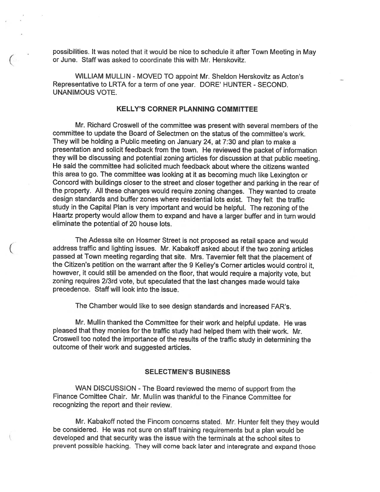possibilities. It was noted that it would be nice to schedule it after Town Meeting in May or June. Staff was asked to coordinate this with Mr. Herskovitz.

WILLIAM MULLIN - MOVED TO appoint Mr. Sheldon Herskovitz as Acton's Representative to LRTA for <sup>a</sup> term of one year. DORE' HUNTER - SECOND. UNANIMOUS VOTE.

#### KELLY'S CORNER PLANNING COMMITTEE

Mr. Richard Croswell of the committee was presen<sup>t</sup> with several members of the committee to update the Board of Selectmen on the status of the committee's work. They will be holding <sup>a</sup> Public meeting on January 24, at 7:30 and <sup>p</sup>lan to make <sup>a</sup> presentation and solicit feedback from the town. He reviewed the packet of information they will be discussing and potential zoning articles for discussion at that public meeting. He said the committee had solicited much feedback about where the citizens wanted this area to go. The committee was looking at it as becoming much like Lexington or Concord with buildings closer to the street and closer together and parking in the rear of the property. All these changes would require zoning changes. They wanted to create design standards and buffer zones where residential lots exist. They felt the traffic study in the Capital Plan is very important and would be helpful. The rezoning of the Haartz property would allow them to expan<sup>d</sup> and have <sup>a</sup> larger buffer and in turn would eliminate the potential of 20 house lots.

The Adessa site on Hosmer Street is not propose<sup>d</sup> as retail space and would address traffic and lighting issues. Mr. Kabakoff asked about if the two zoning articles passe<sup>d</sup> at Town meeting regarding that site. Mrs. Tavernier felt that the <sup>p</sup>lacement of the Citizen's petition on the warrant after the 9 Kelley's Corner articles would control it, however, it could still be amended on the floor, that would require <sup>a</sup> majority vote, but zoning requires 2/3rd vote, but speculated that the last changes made would take precedence. Staff will look into the issue.

The Chamber would like to see design standards and increased FAR's.

Mr. Mullin thanked the Committee for their work and helpful update. He was pleased that they monies for the traffic study had helped them with their work. Mr. Croswell too noted the importance of the results of the traffic study in determining the outcome of their work and suggested articles.

#### SELECTMEN'S BUSINESS

WAN DISCUSSION - The Board reviewed the memo of support from the Finance Comittee Chair. Mr. Mullin was thankful to the Finance Committee for recognizing the repor<sup>t</sup> and their review.

Mr. Kabakoff noted the Fincom concerns stated. Mr. Hunter felt they they would be considered. He was not sure on staff training requirements but <sup>a</sup> <sup>p</sup>lan would be developed and that security was the issue with the terminals at the school sites to preven<sup>t</sup> possible hacking. They will come back later and interegrate and expan<sup>d</sup> those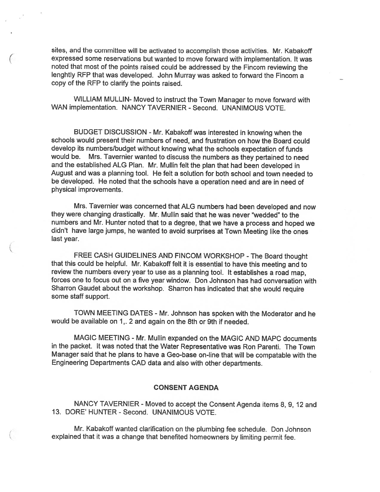sites, and the committee will be activated to accomplish those activities. Mr. Kabakoff expresse<sup>d</sup> some reservations but wanted to move forward with implementation. It was noted that most of the points raised could be addressed by the Fincom reviewing the lenghtly REP that was developed. John Murray was asked to forward the Fincom <sup>a</sup> copy of the RFP to clarify the points raised.

WILLIAM MULLIN- Moved to instruct the Town Manager to move forward with WAN implementation. NANCY TAVERNIER - Second. UNANIMOUS VOTE.

BUDGET DISCUSSION - Mr. Kabakoff was interested in knowing when the schools would presen<sup>t</sup> their numbers of need, and frustration on how the Board could develop its numbers/budget without knowing what the schools expectation of funds would be. Mrs. Tavernier wanted to discuss the numbers as they pertained to need and the established ALG Plan. Mr. Mullin felt the <sup>p</sup>lan that had been developed in August and was <sup>a</sup> planning tool. He felt <sup>a</sup> solution for both school and town needed to be developed. He noted that the schools have <sup>a</sup> operation need and are in need of physical improvements.

Mrs. Tavernier was concerned that ALG numbers had been developed and now they were changing drastically. Mr. Mullin said that he was never "wedded" to the numbers and Mr. Hunter noted that to <sup>a</sup> degree, that we have <sup>a</sup> process and hoped we didn't have large jumps, he wanted to avoid surprises at Town Meeting like the ones last year.

FREE CASH GUIDELINES AND FINCOM WORKSHOP - The Board thought that this could be helpful. Mr. Kabakoff felt it is essential to have this meeting and to review the numbers every year to use as <sup>a</sup> <sup>p</sup>lanning tool. It establishes <sup>a</sup> toad map, forces one to focus out on <sup>a</sup> five year window. Don Johnson has had conversation with Sharron Gaudet about the workshop. Sharron has indicated that she would require some staff support.

TOWN MEETING DATES - Mr. Johnson has spoken with the Moderator and he would be available on 1,. <sup>2</sup> and again on the 8th or 9th if needed.

MAGIC MEETING - Mr. Mullin expanded on the MAGIC AND MAPC documents in the packet. It was noted that the Water Representative was Ron Parenti. The Town Manager said that he <sup>p</sup>lans to have <sup>a</sup> Geo-base on-line that will be compatable with the Engineering Departments CAD data and also with other departments.

#### CONSENT AGENDA

NANCY TAVERNIER - Moved to accept the Consent Agenda items 8, 9, 12 and 13. DORE' HUNTER - Second. UNANIMOUS VOTE.

Mr. Kabakoff wanted clarification on the plumbing fee schedule. Don Johnson explained that it was <sup>a</sup> change that benefited homeowners by limiting permit fee.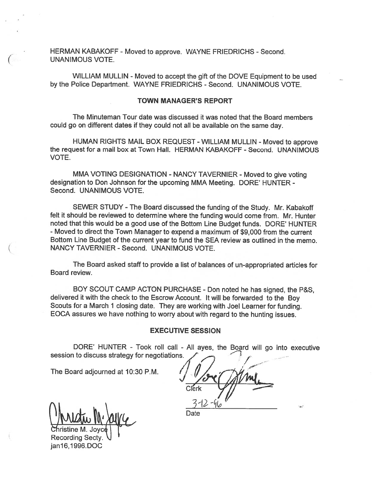HERMAN KABAKOFF - Moved to approve. WAYNE FRIEDRICHS - Second UNANIMOUS VOTE.

WILLIAM MULLIN - Moved to accept the gift of the DOVE Equipment to be used by the Police Department. WAYNE FRIEDRICHS -Second. UNANIMOUS VOTE.

#### TOWN MANAGER'S REPORT

The Minuteman Tour date was discussed it was noted that the Board members could go on different dates if they could not all be available on the same day.

HUMAN RIGHTS MAIL BOX REQUEST - WILLIAM MULLIN - Moved to approve the request for a mail box at Town Hall. HERMAN KABAKOFF - Second. UNANIMOUS VOTE.

MMA VOTING DESIGNATION - NANCY TAVERNIER - Moved to give voting designation to Don Johnson for the upcoming MMA Meeting. DORE' HUNTER - Second. UNANIMOUS VOTE.

SEWER STUDY - The Board discussed the funding of the Study. Mr. Kabakoff felt it should be reviewed to determine where the funding would come from. Mr. Hunter noted that this would be <sup>a</sup> good use of the Bottom Line Budget funds. DORE' HUNTER - Moved to direct the Town Manager to expend <sup>a</sup> maximum of \$9,000 from the current Bottom Line Budget of the current year to fund the SEA review as outlined in the memo. NANCY TAVERNIER - Second. UNANIMOUS VOTE.

The Board asked staff to provide <sup>a</sup> list of balances of un-appropriated articles for Board review.

BOY SCOUT CAMP ACTON PURCHASE - Don noted he has signed, the P&S, delivered it with the check to the Escrow Account. It will be forwarded to the Boy Scouts for <sup>a</sup> March <sup>1</sup> closing date. They are working with Joel Learner for funding. EOCA assures we have nothing to worry about with regar<sup>d</sup> to the hunting issues.

#### EXECUTIVE SESSION

DORE' HUNTER - Took roll call - All ayes, the Board will go into executive session to discuss strategy for negotiations.

The Board adjourned at 10:30 P.M.

neM.Joyc' -' Recording Secty. janl6,1996.DOC

Date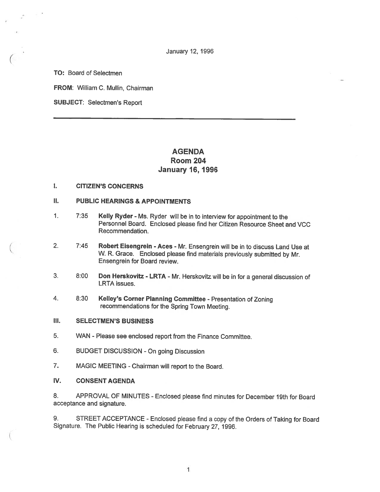January 12, 1996

TO: Board of Selectmen

FROM: William C. Mullin, Chairman

SUBJECT: Selectmen's Report

# AGENDA Room 204 January 16, 1996

### I. CITIZEN'S CONCERNS

#### II. PUBLIC HEARINGS & APPOINTMENTS

- 1. 7:35 Kelly Ryder Ms. Ryder will be in to interview for appointment to the Personnel Board. Enclosed please find her Citizen Resource Sheet and VCC Recommendation.
- 2. 7:45 Robert Eisengrein Aces Mr. Ensengrein will be in to discuss Land Use at W. R. Grace. Enclosed <sup>p</sup>lease find materials previously submitted by Mr. Ensengrein for Board review.
- 3. 8:00 Don Herskovitz LRTA Mr. Herskovitz will be in for <sup>a</sup> general discussion of LRTA issues.
- 4. 8:30 KeIley's Corner Planning Committee Presentation of Zoning recommendations for the Spring Town Meeting.
- Ill. SELECTMEN'S BUSINESS
- 5. WAN Please see enclosed report from the Finance Committee.
- 6. BUDGET DISCUSSION On going Discussion
- 7. MAGIC MEETING -Chairman will report to the Board.
- IV. CONSENT AGENDA

8. APPROVAL OF MINUTES - Enclosed <sup>p</sup>lease find minutes for December 19th for Board acceptance and signature.

9. STREET ACCEPTANCE - Enclosed <sup>p</sup>lease find <sup>a</sup> copy of the Orders of Taking for Board Signature. The Public Hearing is scheduled for February 27, 1996.